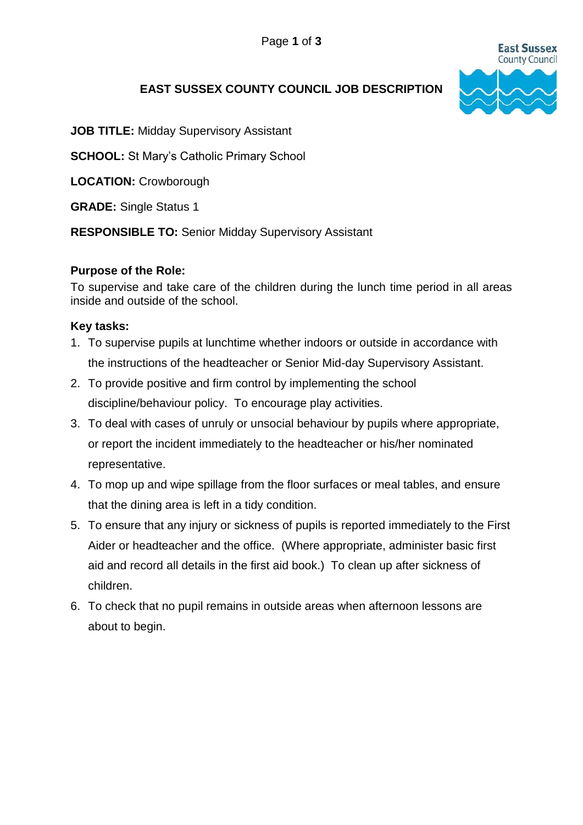

# **EAST SUSSEX COUNTY COUNCIL JOB DESCRIPTION**

**JOB TITLE:** Midday Supervisory Assistant

**SCHOOL:** St Mary's Catholic Primary School

**LOCATION:** Crowborough

**GRADE:** Single Status 1

**RESPONSIBLE TO:** Senior Midday Supervisory Assistant

### **Purpose of the Role:**

To supervise and take care of the children during the lunch time period in all areas inside and outside of the school.

#### **Key tasks:**

- 1. To supervise pupils at lunchtime whether indoors or outside in accordance with the instructions of the headteacher or Senior Mid-day Supervisory Assistant.
- 2. To provide positive and firm control by implementing the school discipline/behaviour policy. To encourage play activities.
- 3. To deal with cases of unruly or unsocial behaviour by pupils where appropriate, or report the incident immediately to the headteacher or his/her nominated representative.
- 4. To mop up and wipe spillage from the floor surfaces or meal tables, and ensure that the dining area is left in a tidy condition.
- 5. To ensure that any injury or sickness of pupils is reported immediately to the First Aider or headteacher and the office. (Where appropriate, administer basic first aid and record all details in the first aid book.) To clean up after sickness of children.
- 6. To check that no pupil remains in outside areas when afternoon lessons are about to begin.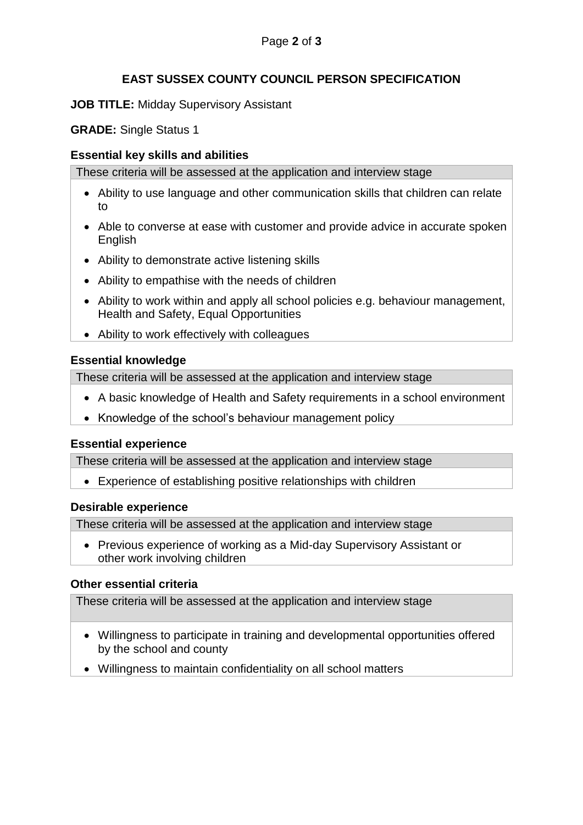# **EAST SUSSEX COUNTY COUNCIL PERSON SPECIFICATION**

### **JOB TITLE:** Midday Supervisory Assistant

**GRADE:** Single Status 1

## **Essential key skills and abilities**

These criteria will be assessed at the application and interview stage

- Ability to use language and other communication skills that children can relate to
- Able to converse at ease with customer and provide advice in accurate spoken English
- Ability to demonstrate active listening skills
- Ability to empathise with the needs of children
- Ability to work within and apply all school policies e.g. behaviour management, Health and Safety, Equal Opportunities
- Ability to work effectively with colleagues

## **Essential knowledge**

These criteria will be assessed at the application and interview stage

- A basic knowledge of Health and Safety requirements in a school environment
- Knowledge of the school's behaviour management policy

### **Essential experience**

These criteria will be assessed at the application and interview stage

Experience of establishing positive relationships with children

### **Desirable experience**

These criteria will be assessed at the application and interview stage

 Previous experience of working as a Mid-day Supervisory Assistant or other work involving children

## **Other essential criteria**

These criteria will be assessed at the application and interview stage

- Willingness to participate in training and developmental opportunities offered by the school and county
- Willingness to maintain confidentiality on all school matters